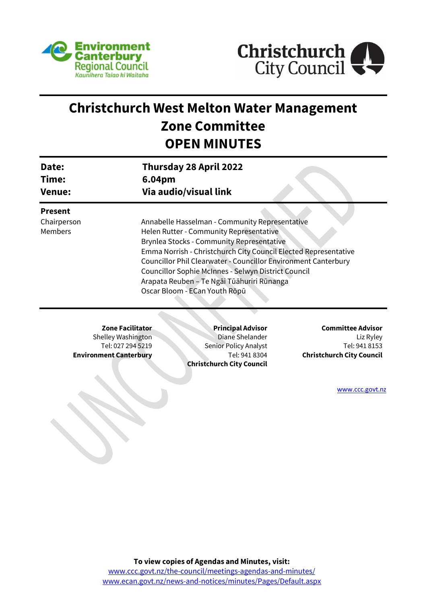



# **Christchurch West Melton Water Management Zone Committee OPEN MINUTES**

| Date:<br>Time:<br><b>Venue:</b>                 | 6.04pm                                                                                              | <b>Thursday 28 April 2022</b><br>Via audio/visual link                                                                                                                                                                                                                                                                                                                                                                   |                                                                                            |  |
|-------------------------------------------------|-----------------------------------------------------------------------------------------------------|--------------------------------------------------------------------------------------------------------------------------------------------------------------------------------------------------------------------------------------------------------------------------------------------------------------------------------------------------------------------------------------------------------------------------|--------------------------------------------------------------------------------------------|--|
| <b>Present</b><br>Chairperson<br><b>Members</b> |                                                                                                     | Annabelle Hasselman - Community Representative<br>Helen Rutter - Community Representative<br>Brynlea Stocks - Community Representative<br>Emma Norrish - Christchurch City Council Elected Representative<br><b>Councillor Phil Clearwater - Councillor Environment Canterbury</b><br>Councillor Sophie McInnes - Selwyn District Council<br>Arapata Reuben – Te Ngāi Tūāhuriri Rūnanga<br>Oscar Bloom - ECan Youth Rōpū |                                                                                            |  |
|                                                 | <b>Zone Facilitator</b><br>Shelley Washington<br>Tel: 027 294 5219<br><b>Environment Canterbury</b> | <b>Principal Advisor</b><br>Diane Shelander<br>Senior Policy Analyst<br>Tel: 941 8304<br><b>Christchurch City Council</b>                                                                                                                                                                                                                                                                                                | <b>Committee Advisor</b><br>Liz Ryley<br>Tel: 941 8153<br><b>Christchurch City Council</b> |  |

[www.ccc.govt.nz](http://www.ccc.govt.nz/)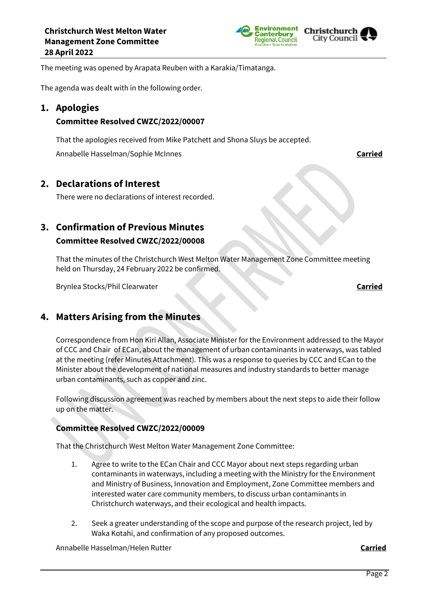



The meeting was opened by Arapata Reuben with a Karakia/Timatanga.

The agenda was dealt with in the following order.

# **1. Apologies**

### **Committee Resolved CWZC/2022/00007**

That the apologies received from Mike Patchett and Shona Sluys be accepted.

Annabelle Hasselman/Sophie McInnes **Carried**

# **2. Declarations of Interest**

There were no declarations of interest recorded.

# **3. Confirmation of Previous Minutes**

# **Committee Resolved CWZC/2022/00008**

That the minutes of the Christchurch West Melton Water Management Zone Committee meeting held on Thursday, 24 February 2022 be confirmed.

Brynlea Stocks/Phil Clearwater **Carried**

# **4. Matters Arising from the Minutes**

Correspondence from Hon Kiri Allan, Associate Minister for the Environment addressed to the Mayor of CCC and Chair of ECan, about the management of urban contaminants in waterways, was tabled at the meeting (refer Minutes Attachment). This was a response to queries by CCC and ECan to the Minister about the development of national measures and industry standards to better manage urban contaminants, such as copper and zinc.

Following discussion agreement was reached by members about the next steps to aide their follow up on the matter.

# **Committee Resolved CWZC/2022/00009**

That the Christchurch West Melton Water Management Zone Committee:

- 1. Agree to write to the ECan Chair and CCC Mayor about next steps regarding urban contaminants in waterways, including a meeting with the Ministry for the Environment and Ministry of Business, Innovation and Employment, Zone Committee members and interested water care community members, to discuss urban contaminants in Christchurch waterways, and their ecological and health impacts.
- 2. Seek a greater understanding of the scope and purpose of the research project, led by Waka Kotahi, and confirmation of any proposed outcomes.

Annabelle Hasselman/Helen Rutter **Carried**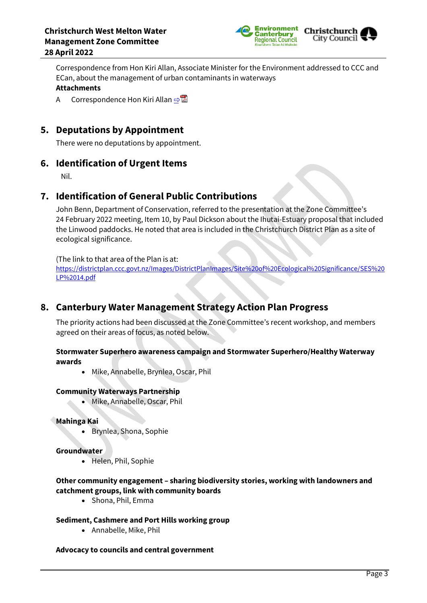

Correspondence from Hon Kiri Allan, Associate Minister for the Environment addressed to CCC and ECan, about the management of urban contaminants in waterways **Attachments**

A Correspondence Hon Kiri Allan [⇨](../../../RedirectToInvalidFileName.aspx?FileName=CWZC_20220428_MAT_7576.PDF#PAGE=3)

# **5. Deputations by Appointment**

There were no deputations by appointment.

# **6. Identification of Urgent Items**

Nil.

# **7. Identification of General Public Contributions**

John Benn, Department of Conservation, referred to the presentation at the Zone Committee's 24 February 2022 meeting, Item 10, by Paul Dickson about the Ihutai-Estuary proposal that included the Linwood paddocks. He noted that area is included in the Christchurch District Plan as a site of ecological significance.

#### (The link to that area of the Plan is at:

[https://districtplan.ccc.govt.nz/Images/DistrictPlanImages/Site%20of%20Ecological%20Significance/SES%20](https://districtplan.ccc.govt.nz/Images/DistrictPlanImages/Site%20of%20Ecological%20Significance/SES%20LP%2014.pdf) [LP%2014.pdf](https://districtplan.ccc.govt.nz/Images/DistrictPlanImages/Site%20of%20Ecological%20Significance/SES%20LP%2014.pdf)

# **8. Canterbury Water Management Strategy Action Plan Progress**

The priority actions had been discussed at the Zone Committee's recent workshop, and members agreed on their areas of focus, as noted below.

#### **Stormwater Superhero awareness campaign and Stormwater Superhero/Healthy Waterway awards**

Mike, Annabelle, Brynlea, Oscar, Phil

#### **Community Waterways Partnership**

Mike, Annabelle, Oscar, Phil

**Mahinga Kai**

Brynlea, Shona, Sophie

#### **Groundwater**

Helen, Phil, Sophie

## **Other community engagement – sharing biodiversity stories, working with landowners and catchment groups, link with community boards**

• Shona, Phil, Emma

#### **Sediment, Cashmere and Port Hills working group**

Annabelle, Mike, Phil

#### **Advocacy to councils and central government**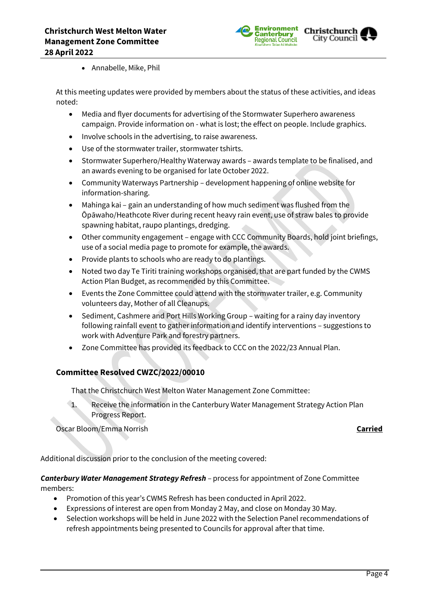

Annabelle, Mike, Phil

At this meeting updates were provided by members about the status of these activities, and ideas noted:

- Media and flyer documents for advertising of the Stormwater Superhero awareness campaign. Provide information on - what is lost; the effect on people. Include graphics.
- Involve schools in the advertising, to raise awareness.
- Use of the stormwater trailer, stormwater tshirts.
- Stormwater Superhero/Healthy Waterway awards awards template to be finalised, and an awards evening to be organised for late October 2022.
- Community Waterways Partnership development happening of online website for information-sharing.
- Mahinga kai gain an understanding of how much sediment was flushed from the Ōpāwaho/Heathcote River during recent heavy rain event, use of straw bales to provide spawning habitat, raupo plantings, dredging.
- Other community engagement engage with CCC Community Boards, hold joint briefings, use of a social media page to promote for example, the awards.
- Provide plants to schools who are ready to do plantings.
- Noted two day Te Tiriti training workshops organised, that are part funded by the CWMS Action Plan Budget, as recommended by this Committee.
- Events the Zone Committee could attend with the stormwater trailer, e.g. Community volunteers day, Mother of all Cleanups.
- Sediment, Cashmere and Port Hills Working Group waiting for a rainy day inventory following rainfall event to gather information and identify interventions – suggestions to work with Adventure Park and forestry partners.
- Zone Committee has provided its feedback to CCC on the 2022/23 Annual Plan.

#### **Committee Resolved CWZC/2022/00010**

That the Christchurch West Melton Water Management Zone Committee:

1. Receive the information in the Canterbury Water Management Strategy Action Plan Progress Report.

Oscar Bloom/Emma Norrish **Carried**

Additional discussion prior to the conclusion of the meeting covered:

#### *Canterbury Water Management Strategy Refresh* – process for appointment of Zone Committee members:

- Promotion of this year's CWMS Refresh has been conducted in April 2022.
- Expressions of interest are open from Monday 2 May, and close on Monday 30 May.
- Selection workshops will be held in June 2022 with the Selection Panel recommendations of refresh appointments being presented to Councils for approval after that time.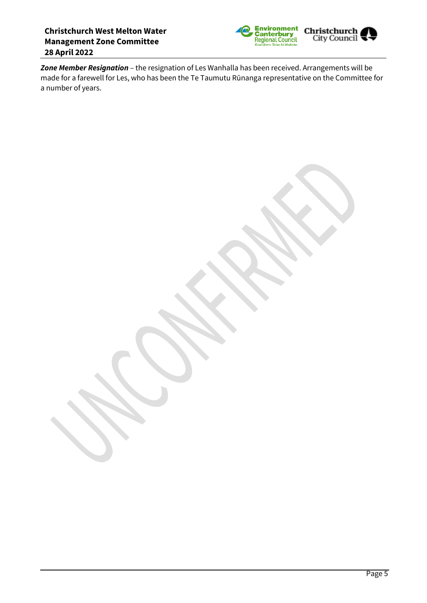

*Zone Member Resignation* – the resignation of Les Wanhalla has been received. Arrangements will be made for a farewell for Les, who has been the Te Taumutu Rūnanga representative on the Committee for a number of years.